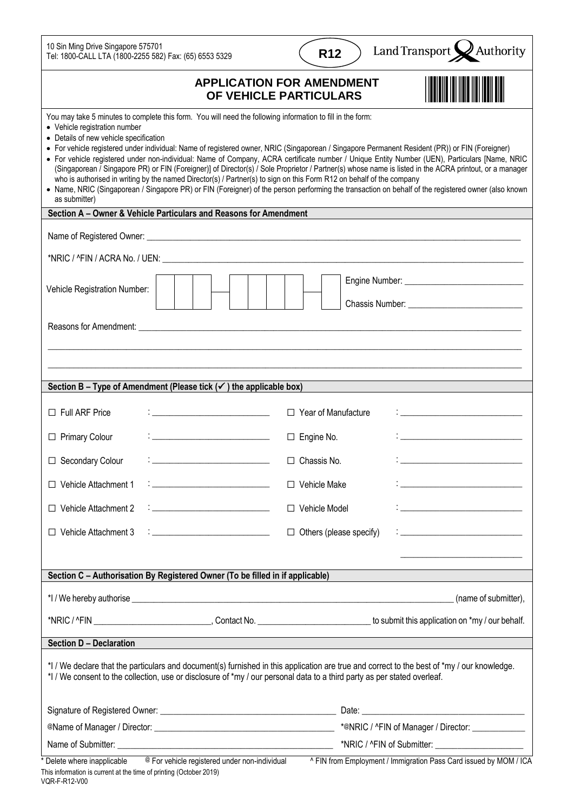| <b>APPLICATION FOR AMENDMENT</b><br>OF VEHICLE PARTICULARS<br>You may take 5 minutes to complete this form. You will need the following information to fill in the form:<br>• Vehicle registration number<br>• Details of new vehicle specification                                                                                                                                                                                                                                                                                                                                                                                                                                                                                                       |                      |
|-----------------------------------------------------------------------------------------------------------------------------------------------------------------------------------------------------------------------------------------------------------------------------------------------------------------------------------------------------------------------------------------------------------------------------------------------------------------------------------------------------------------------------------------------------------------------------------------------------------------------------------------------------------------------------------------------------------------------------------------------------------|----------------------|
|                                                                                                                                                                                                                                                                                                                                                                                                                                                                                                                                                                                                                                                                                                                                                           |                      |
| • For vehicle registered under individual: Name of registered owner, NRIC (Singaporean / Singapore Permanent Resident (PR)) or FIN (Foreigner)<br>• For vehicle registered under non-individual: Name of Company, ACRA certificate number / Unique Entity Number (UEN), Particulars [Name, NRIC<br>(Singaporean / Singapore PR) or FIN (Foreigner)] of Director(s) / Sole Proprietor / Partner(s) whose name is listed in the ACRA printout, or a manager<br>who is authorised in writing by the named Director(s) / Partner(s) to sign on this Form R12 on behalf of the company<br>• Name, NRIC (Singaporean / Singapore PR) or FIN (Foreigner) of the person performing the transaction on behalf of the registered owner (also known<br>as submitter) |                      |
| Section A - Owner & Vehicle Particulars and Reasons for Amendment                                                                                                                                                                                                                                                                                                                                                                                                                                                                                                                                                                                                                                                                                         |                      |
|                                                                                                                                                                                                                                                                                                                                                                                                                                                                                                                                                                                                                                                                                                                                                           |                      |
|                                                                                                                                                                                                                                                                                                                                                                                                                                                                                                                                                                                                                                                                                                                                                           |                      |
| Vehicle Registration Number:                                                                                                                                                                                                                                                                                                                                                                                                                                                                                                                                                                                                                                                                                                                              |                      |
| Reasons for Amendment: <u>example and the second contract of the second contract of the second contract of the second</u>                                                                                                                                                                                                                                                                                                                                                                                                                                                                                                                                                                                                                                 |                      |
|                                                                                                                                                                                                                                                                                                                                                                                                                                                                                                                                                                                                                                                                                                                                                           |                      |
| Section B – Type of Amendment (Please tick $(\checkmark)$ ) the applicable box)                                                                                                                                                                                                                                                                                                                                                                                                                                                                                                                                                                                                                                                                           |                      |
| $\Box$ Full ARF Price<br>$\Box$ Year of Manufacture<br>in the control of the control of the control of the control of the control of the control of the control of the<br>International control of the control of the control of the control of the control of the control of the contro                                                                                                                                                                                                                                                                                                                                                                                                                                                                  |                      |
| <u> 1980 - Johann Barn, mars ar breithinn ar breithinn ar breithinn an dùthchan an dùthchan an dùthchan an dùthch</u><br>□ Primary Colour<br>$\Box$ Engine No.                                                                                                                                                                                                                                                                                                                                                                                                                                                                                                                                                                                            |                      |
| □ Secondary Colour<br><u>: ___________________________</u> ___<br>$\Box$ Chassis No.                                                                                                                                                                                                                                                                                                                                                                                                                                                                                                                                                                                                                                                                      |                      |
| $\frac{1}{2}$ . The contract of the contract of $\mathcal{L}_1$<br>$\Box$ Vehicle Attachment 1<br>$\Box$ Vehicle Make                                                                                                                                                                                                                                                                                                                                                                                                                                                                                                                                                                                                                                     |                      |
| $: \_$<br>$\Box$ Vehicle Attachment 2<br>□ Vehicle Model                                                                                                                                                                                                                                                                                                                                                                                                                                                                                                                                                                                                                                                                                                  |                      |
| $\Box$ Vehicle Attachment 3<br>$\Box$ Others (please specify)                                                                                                                                                                                                                                                                                                                                                                                                                                                                                                                                                                                                                                                                                             |                      |
|                                                                                                                                                                                                                                                                                                                                                                                                                                                                                                                                                                                                                                                                                                                                                           |                      |
| Section C - Authorisation By Registered Owner (To be filled in if applicable)                                                                                                                                                                                                                                                                                                                                                                                                                                                                                                                                                                                                                                                                             |                      |
|                                                                                                                                                                                                                                                                                                                                                                                                                                                                                                                                                                                                                                                                                                                                                           | (name of submitter), |
|                                                                                                                                                                                                                                                                                                                                                                                                                                                                                                                                                                                                                                                                                                                                                           |                      |
| <b>Section D - Declaration</b>                                                                                                                                                                                                                                                                                                                                                                                                                                                                                                                                                                                                                                                                                                                            |                      |
| *I / We declare that the particulars and document(s) furnished in this application are true and correct to the best of *my / our knowledge.<br>*I / We consent to the collection, use or disclosure of *my / our personal data to a third party as per stated overleaf.                                                                                                                                                                                                                                                                                                                                                                                                                                                                                   |                      |
|                                                                                                                                                                                                                                                                                                                                                                                                                                                                                                                                                                                                                                                                                                                                                           |                      |
|                                                                                                                                                                                                                                                                                                                                                                                                                                                                                                                                                                                                                                                                                                                                                           |                      |
| Delete where inapplicable<br>^ FIN from Employment / Immigration Pass Card issued by MOM / ICA<br>@ For vehicle registered under non-individual                                                                                                                                                                                                                                                                                                                                                                                                                                                                                                                                                                                                           |                      |

This information is current at the time of printing (October 2019) VQR-F-R12-V00